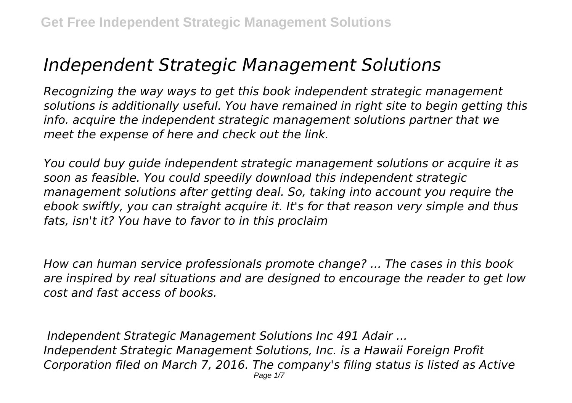## *Independent Strategic Management Solutions*

*Recognizing the way ways to get this book independent strategic management solutions is additionally useful. You have remained in right site to begin getting this info. acquire the independent strategic management solutions partner that we meet the expense of here and check out the link.*

*You could buy guide independent strategic management solutions or acquire it as soon as feasible. You could speedily download this independent strategic management solutions after getting deal. So, taking into account you require the ebook swiftly, you can straight acquire it. It's for that reason very simple and thus fats, isn't it? You have to favor to in this proclaim*

*How can human service professionals promote change? ... The cases in this book are inspired by real situations and are designed to encourage the reader to get low cost and fast access of books.*

*Independent Strategic Management Solutions Inc 491 Adair ... Independent Strategic Management Solutions, Inc. is a Hawaii Foreign Profit Corporation filed on March 7, 2016. The company's filing status is listed as Active* Page 1/7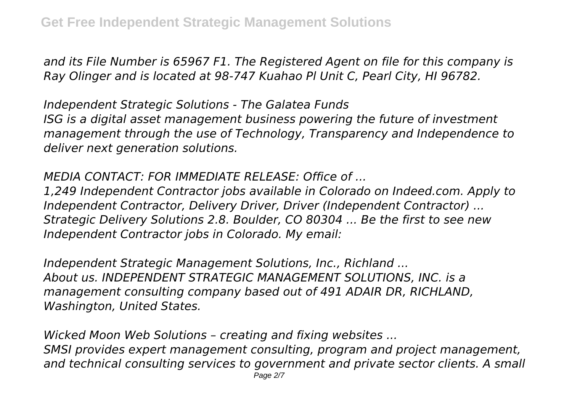*and its File Number is 65967 F1. The Registered Agent on file for this company is Ray Olinger and is located at 98-747 Kuahao Pl Unit C, Pearl City, HI 96782.*

*Independent Strategic Solutions - The Galatea Funds ISG is a digital asset management business powering the future of investment management through the use of Technology, Transparency and Independence to deliver next generation solutions.*

## *MEDIA CONTACT: FOR IMMEDIATE RELEASE: Office of ...*

*1,249 Independent Contractor jobs available in Colorado on Indeed.com. Apply to Independent Contractor, Delivery Driver, Driver (Independent Contractor) ... Strategic Delivery Solutions 2.8. Boulder, CO 80304 ... Be the first to see new Independent Contractor jobs in Colorado. My email:*

*Independent Strategic Management Solutions, Inc., Richland ... About us. INDEPENDENT STRATEGIC MANAGEMENT SOLUTIONS, INC. is a management consulting company based out of 491 ADAIR DR, RICHLAND, Washington, United States.*

*Wicked Moon Web Solutions – creating and fixing websites ... SMSI provides expert management consulting, program and project management, and technical consulting services to government and private sector clients. A small* Page 2/7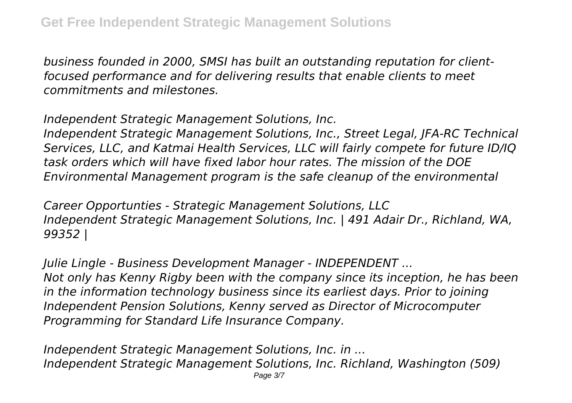*business founded in 2000, SMSI has built an outstanding reputation for clientfocused performance and for delivering results that enable clients to meet commitments and milestones.*

*Independent Strategic Management Solutions, Inc.*

*Independent Strategic Management Solutions, Inc., Street Legal, JFA-RC Technical Services, LLC, and Katmai Health Services, LLC will fairly compete for future ID/IQ task orders which will have fixed labor hour rates. The mission of the DOE Environmental Management program is the safe cleanup of the environmental*

*Career Opportunties - Strategic Management Solutions, LLC Independent Strategic Management Solutions, Inc. | 491 Adair Dr., Richland, WA, 99352 |*

*Julie Lingle - Business Development Manager - INDEPENDENT ... Not only has Kenny Rigby been with the company since its inception, he has been in the information technology business since its earliest days. Prior to joining Independent Pension Solutions, Kenny served as Director of Microcomputer Programming for Standard Life Insurance Company.*

*Independent Strategic Management Solutions, Inc. in ... Independent Strategic Management Solutions, Inc. Richland, Washington (509)*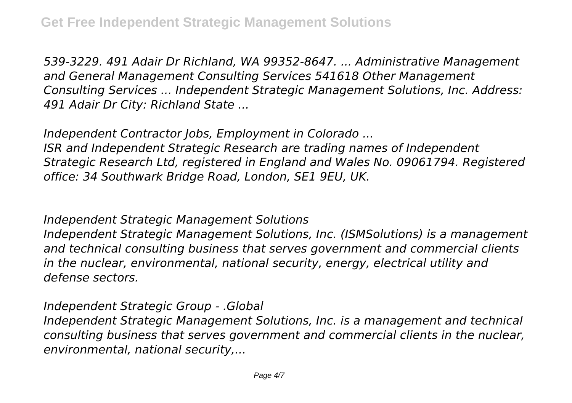*539-3229. 491 Adair Dr Richland, WA 99352-8647. ... Administrative Management and General Management Consulting Services 541618 Other Management Consulting Services ... Independent Strategic Management Solutions, Inc. Address: 491 Adair Dr City: Richland State ...*

*Independent Contractor Jobs, Employment in Colorado ... ISR and Independent Strategic Research are trading names of Independent Strategic Research Ltd, registered in England and Wales No. 09061794. Registered office: 34 Southwark Bridge Road, London, SE1 9EU, UK.*

*Independent Strategic Management Solutions*

*Independent Strategic Management Solutions, Inc. (ISMSolutions) is a management and technical consulting business that serves government and commercial clients in the nuclear, environmental, national security, energy, electrical utility and defense sectors.*

*Independent Strategic Group - .Global*

*Independent Strategic Management Solutions, Inc. is a management and technical consulting business that serves government and commercial clients in the nuclear, environmental, national security,...*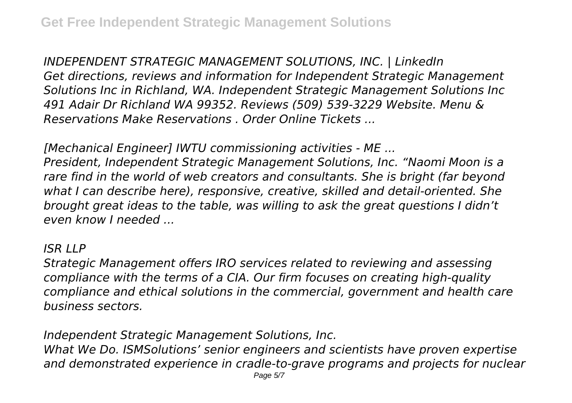*INDEPENDENT STRATEGIC MANAGEMENT SOLUTIONS, INC. | LinkedIn Get directions, reviews and information for Independent Strategic Management Solutions Inc in Richland, WA. Independent Strategic Management Solutions Inc 491 Adair Dr Richland WA 99352. Reviews (509) 539-3229 Website. Menu & Reservations Make Reservations . Order Online Tickets ...*

*[Mechanical Engineer] IWTU commissioning activities - ME ...*

*President, Independent Strategic Management Solutions, Inc. "Naomi Moon is a rare find in the world of web creators and consultants. She is bright (far beyond what I can describe here), responsive, creative, skilled and detail-oriented. She brought great ideas to the table, was willing to ask the great questions I didn't even know I needed ...*

## *ISR LLP*

*Strategic Management offers IRO services related to reviewing and assessing compliance with the terms of a CIA. Our firm focuses on creating high-quality compliance and ethical solutions in the commercial, government and health care business sectors.*

*Independent Strategic Management Solutions, Inc.*

*What We Do. ISMSolutions' senior engineers and scientists have proven expertise and demonstrated experience in cradle-to-grave programs and projects for nuclear*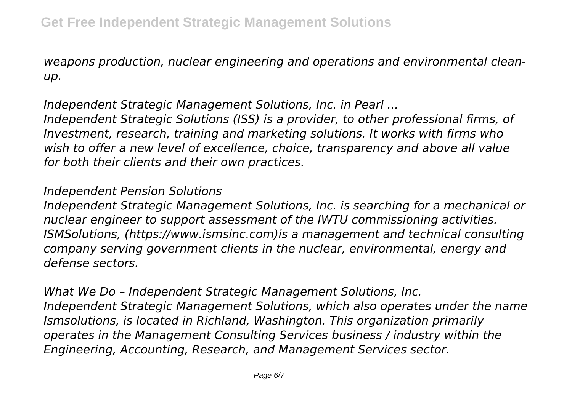*weapons production, nuclear engineering and operations and environmental cleanup.*

*Independent Strategic Management Solutions, Inc. in Pearl ... Independent Strategic Solutions (ISS) is a provider, to other professional firms, of Investment, research, training and marketing solutions. It works with firms who wish to offer a new level of excellence, choice, transparency and above all value for both their clients and their own practices.*

## *Independent Pension Solutions*

*Independent Strategic Management Solutions, Inc. is searching for a mechanical or nuclear engineer to support assessment of the IWTU commissioning activities. ISMSolutions, (https://www.ismsinc.com)is a management and technical consulting company serving government clients in the nuclear, environmental, energy and defense sectors.*

*What We Do – Independent Strategic Management Solutions, Inc. Independent Strategic Management Solutions, which also operates under the name Ismsolutions, is located in Richland, Washington. This organization primarily operates in the Management Consulting Services business / industry within the Engineering, Accounting, Research, and Management Services sector.*